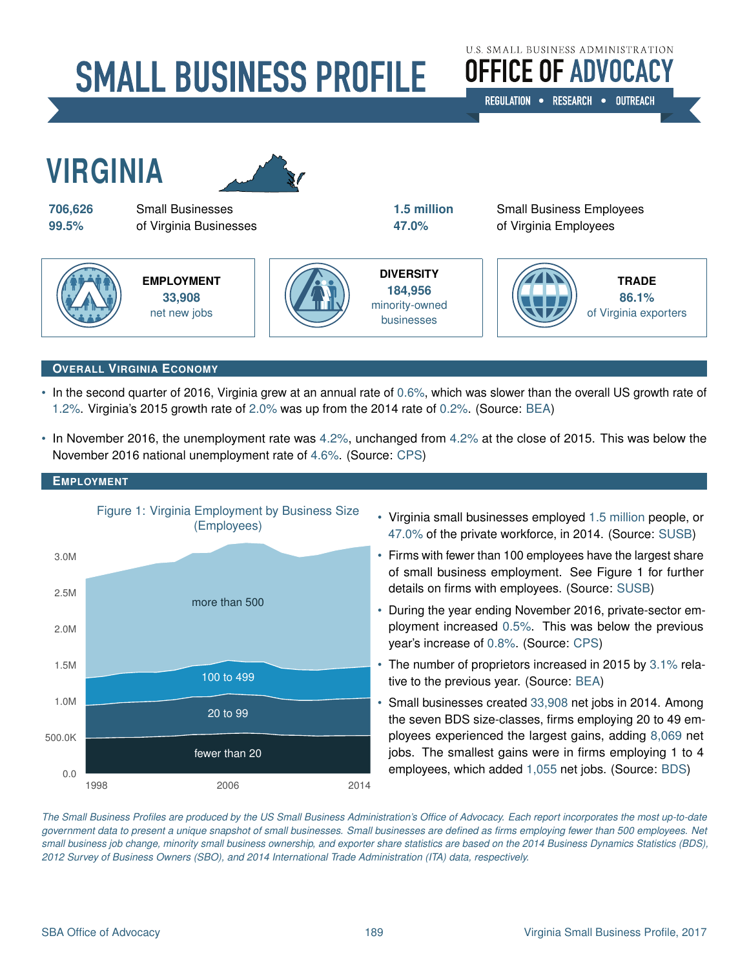# **SMALL BUSINESS PROFILE**

# **U.S. SMALL BUSINESS ADMINISTRATION OFFICE OF ADVOCACY**

REGULATION . RESEARCH . OUTREACH



#### **OVERALL VIRGINIA ECONOMY**

- In the second quarter of 2016, Virginia grew at an annual rate of [0.6%,](#page-3-0) which was slower than the overall US growth rate of [1.2%.](#page-3-0) Virginia's 2015 growth rate of [2.0%](#page-3-0) was up from the 2014 rate of [0.2%.](#page-3-0) (Source: [BEA\)](#page-3-0)
- • In November 2016, the unemployment rate was [4.2%,](#page-3-0) unchanged from [4.2%](#page-3-0) at the close of 2015. This was below the November 2016 national unemployment rate of [4.6%.](#page-3-0) (Source: [CPS\)](#page-3-0)



- • Virginia small businesses employed [1.5 million](#page-3-0) people, or [47.0%](#page-3-0) of the private workforce, in 2014. (Source: [SUSB\)](#page-3-0)
- Firms with fewer than 100 employees have the largest share of small business employment. See Figure 1 for further details on firms with employees. (Source: [SUSB\)](#page-3-0)
- During the year ending November 2016, private-sector employment increased [0.5%.](#page-3-0) This was below the previous year's increase of [0.8%.](#page-3-0) (Source: [CPS\)](#page-3-0)
- The number of proprietors increased in 2015 by [3.1%](#page-3-0) relative to the previous year. (Source: [BEA\)](#page-3-0)
- Small businesses created [33,908](#page-3-0) net jobs in 2014. Among the seven BDS size-classes, firms employing 20 to 49 employees experienced the largest gains, adding [8,069](#page-3-0) net jobs. The smallest gains were in firms employing 1 to 4 employees, which added [1,055](#page-3-0) net jobs. (Source: [BDS\)](#page-3-0)

*The Small Business Profiles are produced by the US Small Business Administration's Office of Advocacy. Each report incorporates the most up-to-date government data to present a unique snapshot of small businesses. Small businesses are defined as firms employing fewer than 500 employees. Net small business job change, minority small business ownership, and exporter share statistics are based on the 2014 Business Dynamics Statistics (BDS), 2012 Survey of Business Owners (SBO), and 2014 International Trade Administration (ITA) data, respectively.*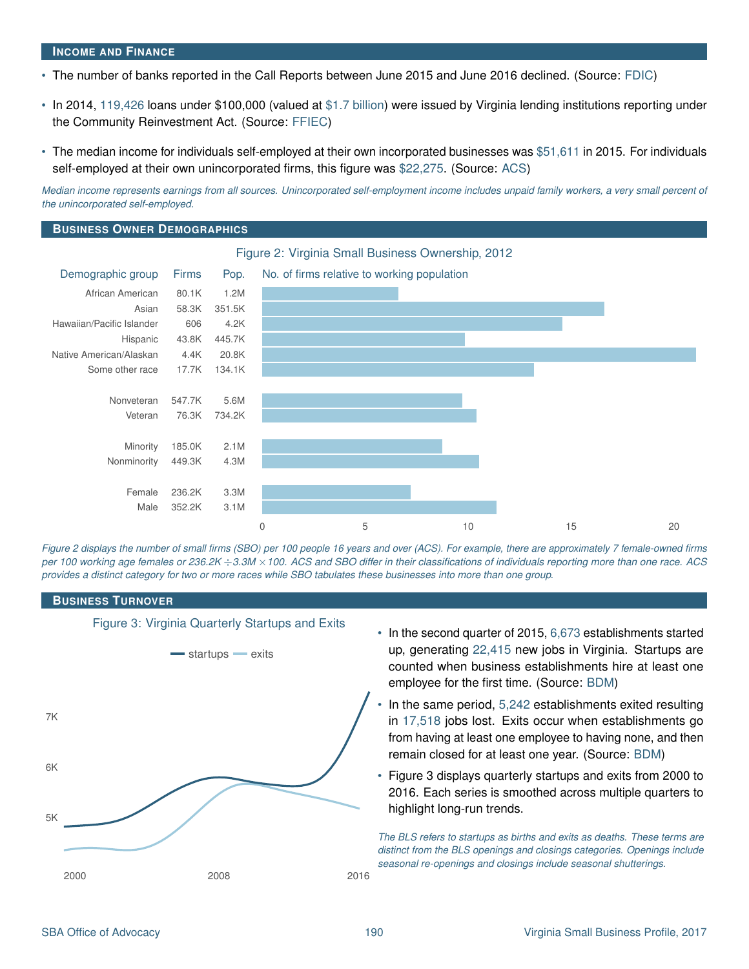#### **INCOME AND FINANCE**

- • The number of banks reported in the Call Reports between June 2015 and June 2016 declined. (Source: [FDIC\)](#page-3-0)
- • In 2014, [119,426](#page-3-0) loans under \$100,000 (valued at [\\$1.7 billion\)](#page-3-0) were issued by Virginia lending institutions reporting under the Community Reinvestment Act. (Source: [FFIEC\)](#page-3-0)
- • The median income for individuals self-employed at their own incorporated businesses was [\\$51,611](#page-3-0) in 2015. For individuals self-employed at their own unincorporated firms, this figure was [\\$22,275.](#page-3-0) (Source: [ACS\)](#page-3-0)

*Median income represents earnings from all sources. Unincorporated self-employment income includes unpaid family workers, a very small percent of the unincorporated self-employed.* 

#### **BUSINESS OWNER DEMOGRAPHICS**



*Figure 2 displays the number of small firms (SBO) per 100 people 16 years and over (ACS). For example, there are approximately 7 female-owned firms per 100 working age females or 236.2K* ÷*3.3M* ×*100. ACS and SBO differ in their classifications of individuals reporting more than one race. ACS provides a distinct category for two or more races while SBO tabulates these businesses into more than one group.* 

#### **BUSINESS TURNOVER**



Figure 3: Virginia Quarterly Startups and Exits

- In the second quarter of 2015, [6,673](#page-3-0) establishments started up, generating [22,415](#page-3-0) new jobs in Virginia. Startups are counted when business establishments hire at least one employee for the first time. (Source: [BDM\)](#page-3-0)
- In the same period, [5,242](#page-3-0) establishments exited resulting in [17,518](#page-3-0) jobs lost. Exits occur when establishments go from having at least one employee to having none, and then remain closed for at least one year. (Source: [BDM\)](#page-3-0)
- Figure 3 displays quarterly startups and exits from 2000 to 2016. Each series is smoothed across multiple quarters to highlight long-run trends.

*The BLS refers to startups as births and exits as deaths. These terms are distinct from the BLS openings and closings categories. Openings include seasonal re-openings and closings include seasonal shutterings.*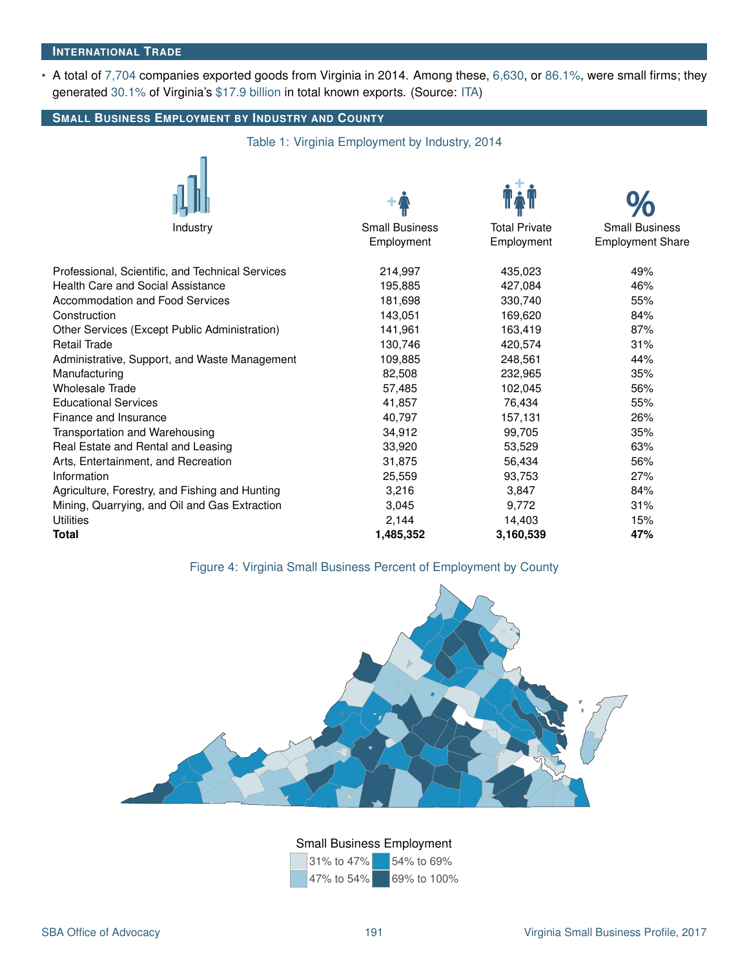#### **INTERNATIONAL TRADE**

• A total of [7,704](#page-3-0) companies exported goods from Virginia in 2014. Among these, [6,630,](#page-3-0) or [86.1%,](#page-3-0) were small firms; they generated [30.1%](#page-3-0) of Virginia's [\\$17.9 billion](#page-3-0) in total known exports. (Source: [ITA\)](#page-3-0)

## **SMALL BUSINESS EMPLOYMENT BY INDUSTRY AND COUNTY** Table 1: Virginia Employment by Industry, 2014 Industry Small Business Total Private Small Business Employment Employment Employment Share Professional, Scientific, and Technical Services 214,997 435,023 49% Health Care and Social Assistance 195,885 427,084 46% Accommodation and Food Services and the state is a state of the 181,698 and 330,740 55% Construction 143,051 169,620 84% Other Services (Except Public Administration) 141,961 163,419 87% Retail Trade 130,746 420,574 31% Administrative, Support, and Waste Management 109,885 248,561 288,561 Manufacturing 82,508 232,965 35% Wholesale Trade 56% **102,045** 56% Educational Services 65% and the services of the 41,857 and 41,857 and 41,857 and 41,857 and 41,857 and 55% and 55% Finance and Insurance **26%**<br>
Transportation and Warehousing **157,131** 26% and the same control of the state of the state of the state of the s<br>  $34.912$  39,705 35% Transportation and Warehousing 1990-100 1000 34,912 99,705 35% Real Estate and Rental and Leasing 33.920 53,529 53,529 63% Arts, Entertainment, and Recreation 6% and 31,875 56,434 56% Information 25,559 93,753 27% Agriculture, Forestry, and Fishing and Hunting  $3,216$   $3,847$   $3,847$   $84\%$ Mining, Quarrying, and Oil and Gas Extraction 3,045 9,772 31% Utilities 2,144 14,403 15% **Total 1,485,352 3,160,539 47%**

## Figure 4: Virginia Small Business Percent of Employment by County



## Small Business Employment

| 31% to 47% | 54% to 69%  |
|------------|-------------|
| 47% to 54% | 69% to 100% |